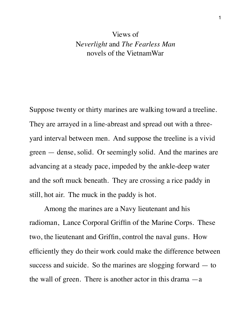## Views of N*everlight* and *The Fearless Man* novels of the VietnamWar

Suppose twenty or thirty marines are walking toward a treeline. They are arrayed in a line-abreast and spread out with a threeyard interval between men. And suppose the treeline is a vivid green — dense, solid. Or seemingly solid. And the marines are advancing at a steady pace, impeded by the ankle-deep water and the soft muck beneath. They are crossing a rice paddy in still, hot air. The muck in the paddy is hot.

Among the marines are a Navy lieutenant and his radioman, Lance Corporal Griffin of the Marine Corps. These two, the lieutenant and Griffin, control the naval guns. How efficiently they do their work could make the difference between success and suicide. So the marines are slogging forward — to the wall of green. There is another actor in this drama  $-a$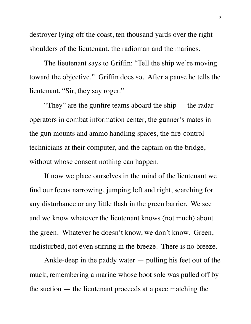destroyer lying off the coast, ten thousand yards over the right shoulders of the lieutenant, the radioman and the marines.

The lieutenant says to Griffin: "Tell the ship we're moving toward the objective." Griffin does so. After a pause he tells the lieutenant, "Sir, they say roger."

"They" are the gunfire teams aboard the ship — the radar operators in combat information center, the gunner's mates in the gun mounts and ammo handling spaces, the fire-control technicians at their computer, and the captain on the bridge, without whose consent nothing can happen.

If now we place ourselves in the mind of the lieutenant we find our focus narrowing, jumping left and right, searching for any disturbance or any little flash in the green barrier. We see and we know whatever the lieutenant knows (not much) about the green. Whatever he doesn't know, we don't know. Green, undisturbed, not even stirring in the breeze. There is no breeze.

Ankle-deep in the paddy water — pulling his feet out of the muck, remembering a marine whose boot sole was pulled off by the suction — the lieutenant proceeds at a pace matching the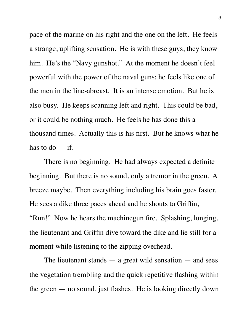pace of the marine on his right and the one on the left. He feels a strange, uplifting sensation. He is with these guys, they know him. He's the "Navy gunshot." At the moment he doesn't feel powerful with the power of the naval guns; he feels like one of the men in the line-abreast. It is an intense emotion. But he is also busy. He keeps scanning left and right. This could be bad, or it could be nothing much. He feels he has done this a thousand times. Actually this is his first. But he knows what he has to  $do - if.$ 

There is no beginning. He had always expected a definite beginning. But there is no sound, only a tremor in the green. A breeze maybe. Then everything including his brain goes faster. He sees a dike three paces ahead and he shouts to Griffin, "Run!" Now he hears the machinegun fire. Splashing, lunging, the lieutenant and Griffin dive toward the dike and lie still for a moment while listening to the zipping overhead.

The lieutenant stands  $-$  a great wild sensation  $-$  and sees the vegetation trembling and the quick repetitive flashing within the green — no sound, just flashes. He is looking directly down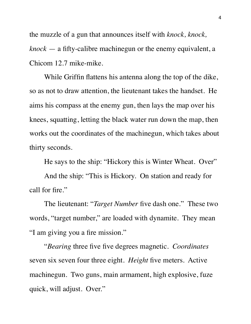the muzzle of a gun that announces itself with *knock, knock, knock* — a fifty-calibre machinegun or the enemy equivalent, a Chicom 12.7 mike-mike.

While Griffin flattens his antenna along the top of the dike, so as not to draw attention, the lieutenant takes the handset. He aims his compass at the enemy gun, then lays the map over his knees, squatting, letting the black water run down the map, then works out the coordinates of the machinegun, which takes about thirty seconds.

He says to the ship: "Hickory this is Winter Wheat. Over"

And the ship: "This is Hickory. On station and ready for call for fire."

The lieutenant: "*Target Number* five dash one." These two words, "target number," are loaded with dynamite. They mean "I am giving you a fire mission."

"*Bearing* three five five degrees magnetic. *Coordinates* seven six seven four three eight. *Height* five meters. Active machinegun. Two guns, main armament, high explosive, fuze quick, will adjust. Over."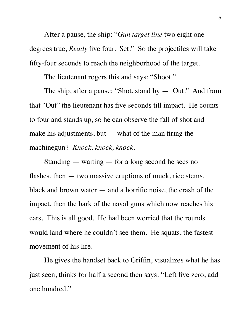After a pause, the ship: "*Gun target line* two eight one degrees true, *Ready* five four. Set." So the projectiles will take fifty-four seconds to reach the neighborhood of the target.

The lieutenant rogers this and says: "Shoot."

The ship, after a pause: "Shot, stand by — Out." And from that "Out" the lieutenant has five seconds till impact. He counts to four and stands up, so he can observe the fall of shot and make his adjustments, but  $-$  what of the man firing the machinegun? *Knock, knock, knock.*

Standing — waiting — for a long second he sees no flashes, then — two massive eruptions of muck, rice stems, black and brown water — and a horrific noise, the crash of the impact, then the bark of the naval guns which now reaches his ears. This is all good. He had been worried that the rounds would land where he couldn't see them. He squats, the fastest movement of his life.

He gives the handset back to Griffin, visualizes what he has just seen, thinks for half a second then says: "Left five zero, add one hundred."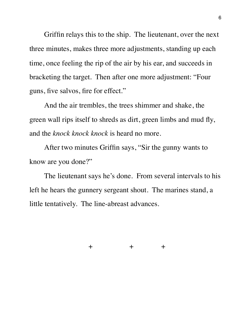Griffin relays this to the ship. The lieutenant, over the next three minutes, makes three more adjustments, standing up each time, once feeling the rip of the air by his ear, and succeeds in bracketing the target. Then after one more adjustment: "Four guns, five salvos, fire for effect."

And the air trembles, the trees shimmer and shake, the green wall rips itself to shreds as dirt, green limbs and mud fly, and the *knock knock knock* is heard no more.

After two minutes Griffin says, "Sir the gunny wants to know are you done?"

The lieutenant says he's done. From several intervals to his left he hears the gunnery sergeant shout. The marines stand, a little tentatively. The line-abreast advances.

+ + +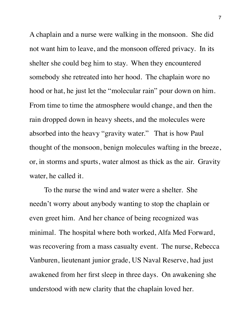A chaplain and a nurse were walking in the monsoon. She did not want him to leave, and the monsoon offered privacy. In its shelter she could beg him to stay. When they encountered somebody she retreated into her hood. The chaplain wore no hood or hat, he just let the "molecular rain" pour down on him. From time to time the atmosphere would change, and then the rain dropped down in heavy sheets, and the molecules were absorbed into the heavy "gravity water." That is how Paul thought of the monsoon, benign molecules wafting in the breeze, or, in storms and spurts, water almost as thick as the air. Gravity water, he called it.

To the nurse the wind and water were a shelter. She needn't worry about anybody wanting to stop the chaplain or even greet him. And her chance of being recognized was minimal. The hospital where both worked, Alfa Med Forward, was recovering from a mass casualty event. The nurse, Rebecca Vanburen, lieutenant junior grade, US Naval Reserve, had just awakened from her first sleep in three days. On awakening she understood with new clarity that the chaplain loved her.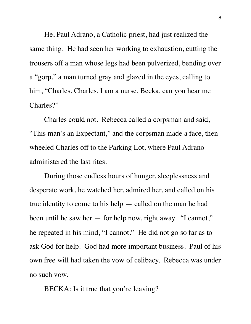He, Paul Adrano, a Catholic priest, had just realized the same thing. He had seen her working to exhaustion, cutting the trousers off a man whose legs had been pulverized, bending over a "gorp," a man turned gray and glazed in the eyes, calling to him, "Charles, Charles, I am a nurse, Becka, can you hear me Charles?"

Charles could not. Rebecca called a corpsman and said, "This man's an Expectant," and the corpsman made a face, then wheeled Charles off to the Parking Lot, where Paul Adrano administered the last rites.

During those endless hours of hunger, sleeplessness and desperate work, he watched her, admired her, and called on his true identity to come to his help — called on the man he had been until he saw her — for help now, right away. "I cannot," he repeated in his mind, "I cannot." He did not go so far as to ask God for help. God had more important business. Paul of his own free will had taken the vow of celibacy. Rebecca was under no such vow.

BECKA: Is it true that you're leaving?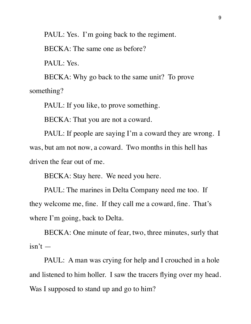PAUL: Yes. I'm going back to the regiment.

BECKA: The same one as before?

PAUL: Yes.

BECKA: Why go back to the same unit? To prove something?

PAUL: If you like, to prove something.

BECKA: That you are not a coward.

PAUL: If people are saying I'm a coward they are wrong. I was, but am not now, a coward. Two months in this hell has driven the fear out of me.

BECKA: Stay here. We need you here.

PAUL: The marines in Delta Company need me too. If they welcome me, fine. If they call me a coward, fine. That's where I'm going, back to Delta.

BECKA: One minute of fear, two, three minutes, surly that  $isn't$  —

PAUL: A man was crying for help and I crouched in a hole and listened to him holler. I saw the tracers flying over my head. Was I supposed to stand up and go to him?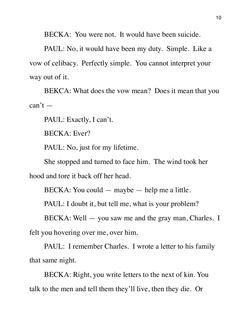BECKA: You were not. It would have been suicide.

PAUL: No, it would have been my duty. Simple. Like a vow of celibacy. Perfectly simple. You cannot interpret your way out of it.

BEKCA: What does the vow mean? Does it mean that you  $can't -$ 

PAUL: Exactly, I can't.

BECKA: Ever?

PAUL: No, just for my lifetime.

She stopped and turned to face him. The wind took her

hood and tore it back off her head.

BECKA: You could — maybe — help me a little.

PAUL: I doubt it, but tell me, what is your problem?

BECKA: Well — you saw me and the gray man, Charles. I felt you hovering over me, over him.

PAUL: I remember Charles. I wrote a letter to his family that same night.

BECKA: Right, you write letters to the next of kin. You talk to the men and tell them they'll live, then they die. Or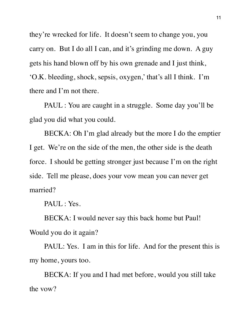they're wrecked for life. It doesn't seem to change you, you carry on. But I do all I can, and it's grinding me down. A guy gets his hand blown off by his own grenade and I just think, 'O.K. bleeding, shock, sepsis, oxygen,' that's all I think. I'm there and I'm not there.

PAUL : You are caught in a struggle. Some day you'll be glad you did what you could.

BECKA: Oh I'm glad already but the more I do the emptier I get. We're on the side of the men, the other side is the death force. I should be getting stronger just because I'm on the right side. Tell me please, does your vow mean you can never get married?

PAUL : Yes.

BECKA: I would never say this back home but Paul! Would you do it again?

PAUL: Yes. I am in this for life. And for the present this is my home, yours too.

BECKA: If you and I had met before, would you still take the vow?